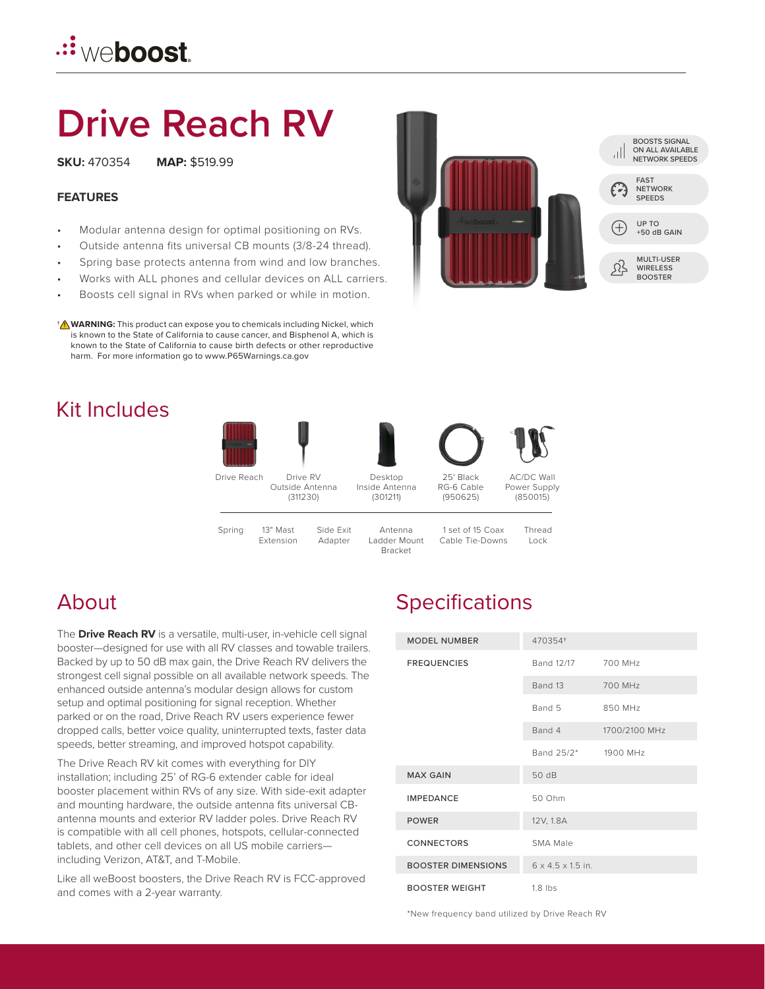# **Drive Reach RV**

**SKU:** 470354 **MAP:** \$519.99

#### **FEATURES**

- Modular antenna design for optimal positioning on RVs.
- Outside antenna fits universal CB mounts (3/8-24 thread).
- Spring base protects antenna from wind and low branches.
- Works with ALL phones and cellular devices on ALL carriers.
- Boosts cell signal in RVs when parked or while in motion.

**WARNING:** This product can expose you to chemicals including Nickel, which † **!** is known to the State of California to cause cancer, and Bisphenol A, which is known to the State of California to cause birth defects or other reproductive harm. For more information go to www.P65Warnings.ca.gov

# Kit Includes



# About

The **Drive Reach RV** is a versatile, multi-user, in-vehicle cell signal booster—designed for use with all RV classes and towable trailers. Backed by up to 50 dB max gain, the Drive Reach RV delivers the strongest cell signal possible on all available network speeds. The enhanced outside antenna's modular design allows for custom setup and optimal positioning for signal reception. Whether parked or on the road, Drive Reach RV users experience fewer dropped calls, better voice quality, uninterrupted texts, faster data speeds, better streaming, and improved hotspot capability.

The Drive Reach RV kit comes with everything for DIY installation; including 25' of RG-6 extender cable for ideal booster placement within RVs of any size. With side-exit adapter and mounting hardware, the outside antenna fits universal CBantenna mounts and exterior RV ladder poles. Drive Reach RV is compatible with all cell phones, hotspots, cellular-connected tablets, and other cell devices on all US mobile carriers including Verizon, AT&T, and T-Mobile.

Like all weBoost boosters, the Drive Reach RV is FCC-approved and comes with a 2-year warranty.

# **Specifications**

| <b>MODEL NUMBER</b>       | 470354+                       |               |
|---------------------------|-------------------------------|---------------|
| <b>FREQUENCIES</b>        | Band 12/17                    | 700 MHz       |
|                           | Band 13                       | 700 MHz       |
|                           | Band 5                        | 850 MHz       |
|                           | Band 4                        | 1700/2100 MHz |
|                           | Band 25/2* 1900 MHz           |               |
| <b>MAX GAIN</b>           | 50 dB                         |               |
| <b>IMPEDANCE</b>          | 50 Ohm                        |               |
| <b>POWER</b>              | 12V, 1.8A                     |               |
| <b>CONNECTORS</b>         | SMA Male                      |               |
| <b>BOOSTER DIMENSIONS</b> | $6 \times 4.5 \times 1.5$ in. |               |
| <b>BOOSTER WEIGHT</b>     | $1.8$ lbs                     |               |

\*New frequency band utilized by Drive Reach RV